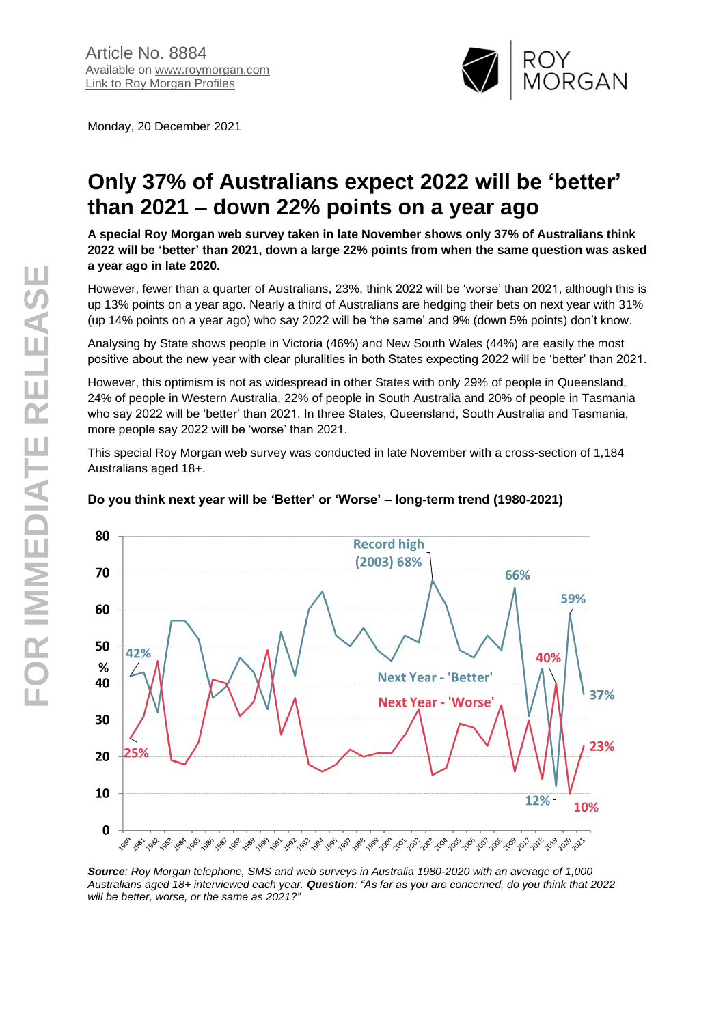Monday, 20 December 2021



# **Only 37% of Australians expect 2022 will be 'better' than 2021 – down 22% points on a year ago**

**A special Roy Morgan web survey taken in late November shows only 37% of Australians think 2022 will be 'better' than 2021, down a large 22% points from when the same question was asked a year ago in late 2020.**

However, fewer than a quarter of Australians, 23%, think 2022 will be 'worse' than 2021, although this is up 13% points on a year ago. Nearly a third of Australians are hedging their bets on next year with 31% (up 14% points on a year ago) who say 2022 will be 'the same' and 9% (down 5% points) don't know.

Analysing by State shows people in Victoria (46%) and New South Wales (44%) are easily the most positive about the new year with clear pluralities in both States expecting 2022 will be 'better' than 2021.

However, this optimism is not as widespread in other States with only 29% of people in Queensland, 24% of people in Western Australia, 22% of people in South Australia and 20% of people in Tasmania who say 2022 will be 'better' than 2021. In three States, Queensland, South Australia and Tasmania, more people say 2022 will be 'worse' than 2021.

This special Roy Morgan web survey was conducted in late November with a cross-section of 1,184 Australians aged 18+.



## **Do you think next year will be 'Better' or 'Worse' – long-term trend (1980-2021)**

*Source: Roy Morgan telephone, SMS and web surveys in Australia 1980-2020 with an average of 1,000 Australians aged 18+ interviewed each year. Question: "As far as you are concerned, do you think that 2022 will be better, worse, or the same as 2021?"*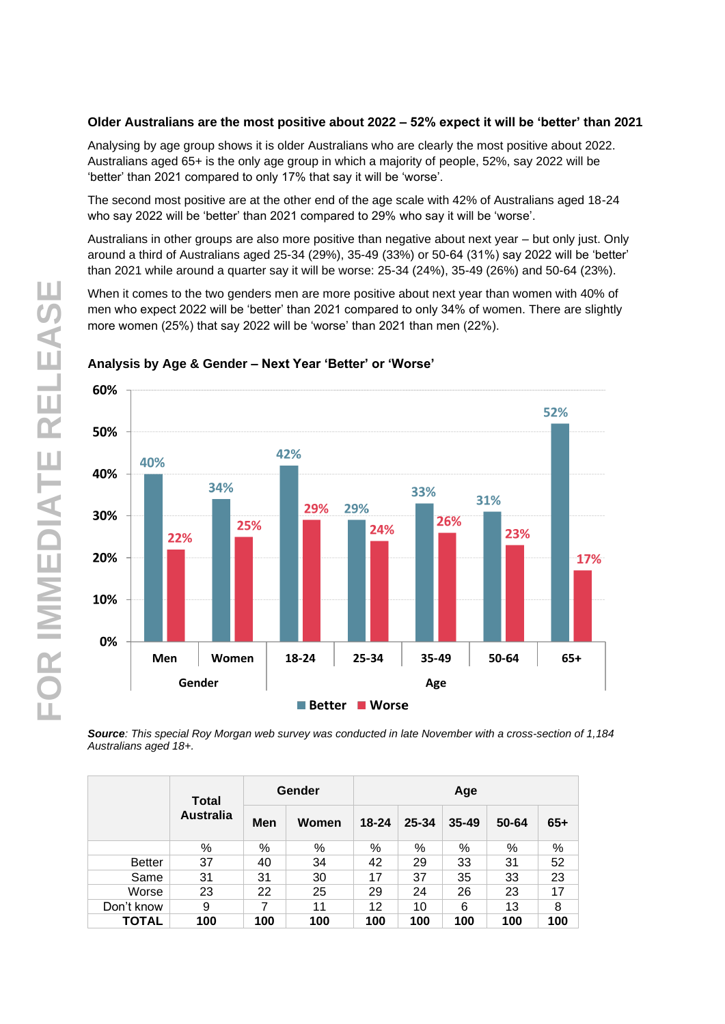## **Older Australians are the most positive about 2022 – 52% expect it will be 'better' than 2021**

Analysing by age group shows it is older Australians who are clearly the most positive about 2022. Australians aged 65+ is the only age group in which a majority of people, 52%, say 2022 will be 'better' than 2021 compared to only 17% that say it will be 'worse'.

The second most positive are at the other end of the age scale with 42% of Australians aged 18-24 who say 2022 will be 'better' than 2021 compared to 29% who say it will be 'worse'.

Australians in other groups are also more positive than negative about next year – but only just. Only around a third of Australians aged 25-34 (29%), 35-49 (33%) or 50-64 (31%) say 2022 will be 'better' than 2021 while around a quarter say it will be worse: 25-34 (24%), 35-49 (26%) and 50-64 (23%).

When it comes to the two genders men are more positive about next year than women with 40% of men who expect 2022 will be 'better' than 2021 compared to only 34% of women. There are slightly more women (25%) that say 2022 will be 'worse' than 2021 than men (22%).



### **Analysis by Age & Gender – Next Year 'Better' or 'Worse'**

*Source: This special Roy Morgan web survey was conducted in late November with a cross-section of 1,184 Australians aged 18+.*

|               | Total            |     | Gender | Age       |       |           |       |       |  |  |
|---------------|------------------|-----|--------|-----------|-------|-----------|-------|-------|--|--|
|               | <b>Australia</b> | Men | Women  | $18 - 24$ | 25-34 | $35 - 49$ | 50-64 | $65+$ |  |  |
|               | %                | %   | %      | %         | %     | %         | %     | %     |  |  |
| <b>Better</b> | 37               | 40  | 34     | 42        | 29    | 33        | 31    | 52    |  |  |
| Same          | 31               | 31  | 30     | 17        | 37    | 35        | 33    | 23    |  |  |
| Worse         | 23               | 22  | 25     | 29        | 24    | 26        | 23    | 17    |  |  |
| Don't know    | 9                | 7   | 11     | 12        | 10    | 6         | 13    | 8     |  |  |
| TOTAL         | 100              | 100 | 100    | 100       | 100   | 100       | 100   | 100   |  |  |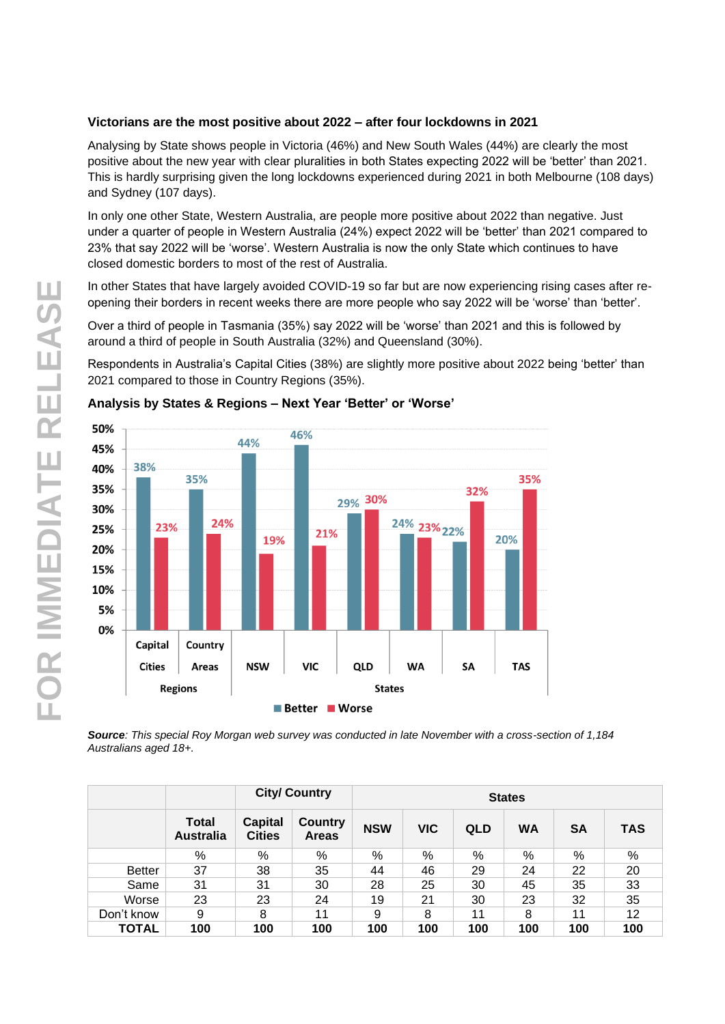## **Victorians are the most positive about 2022 – after four lockdowns in 2021**

Analysing by State shows people in Victoria (46%) and New South Wales (44%) are clearly the most positive about the new year with clear pluralities in both States expecting 2022 will be 'better' than 2021. This is hardly surprising given the long lockdowns experienced during 2021 in both Melbourne (108 days) and Sydney (107 days).

In only one other State, Western Australia, are people more positive about 2022 than negative. Just under a quarter of people in Western Australia (24%) expect 2022 will be 'better' than 2021 compared to 23% that say 2022 will be 'worse'. Western Australia is now the only State which continues to have closed domestic borders to most of the rest of Australia.

In other States that have largely avoided COVID-19 so far but are now experiencing rising cases after reopening their borders in recent weeks there are more people who say 2022 will be 'worse' than 'better'.

Over a third of people in Tasmania (35%) say 2022 will be 'worse' than 2021 and this is followed by around a third of people in South Australia (32%) and Queensland (30%).

Respondents in Australia's Capital Cities (38%) are slightly more positive about 2022 being 'better' than 2021 compared to those in Country Regions (35%).



### **Analysis by States & Regions – Next Year 'Better' or 'Worse'**

*Source: This special Roy Morgan web survey was conducted in late November with a cross-section of 1,184 Australians aged 18+.*

|               |                                  |                                 | <b>City/ Country</b>           |            | <b>States</b> |            |           |           |               |  |  |
|---------------|----------------------------------|---------------------------------|--------------------------------|------------|---------------|------------|-----------|-----------|---------------|--|--|
|               | <b>Total</b><br><b>Australia</b> | <b>Capital</b><br><b>Cities</b> | <b>Country</b><br><b>Areas</b> | <b>NSW</b> | <b>VIC</b>    | <b>QLD</b> | <b>WA</b> | <b>SA</b> | <b>TAS</b>    |  |  |
|               | %                                | %                               | %                              | %          | $\%$          | %          | %         | %         | $\frac{0}{0}$ |  |  |
| <b>Better</b> | 37                               | 38                              | 35                             | 44         | 46            | 29         | 24        | 22        | 20            |  |  |
| Same          | 31                               | 31                              | 30                             | 28         | 25            | 30         | 45        | 35        | 33            |  |  |
| Worse         | 23                               | 23                              | 24                             | 19         | 21            | 30         | 23        | 32        | 35            |  |  |
| Don't know    | 9                                | 8                               | 11                             | 9          | 8             | 11         | 8         | 11        | 12            |  |  |
| <b>TOTAL</b>  | 100                              | 100                             | 100                            | 100        | 100           | 100        | 100       | 100       | 100           |  |  |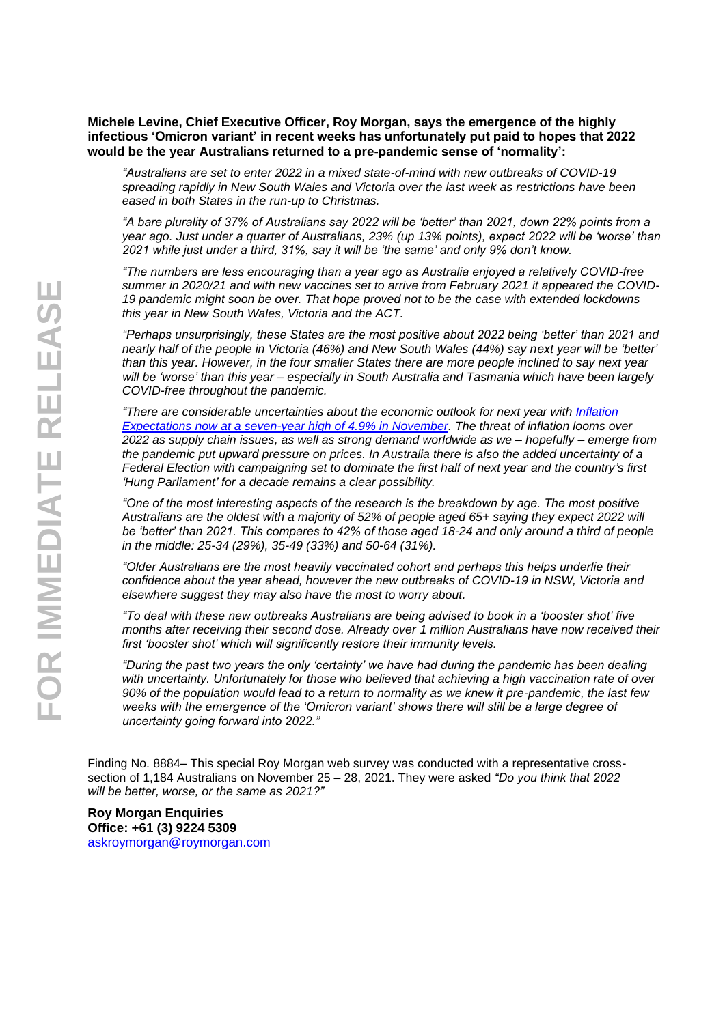#### **Michele Levine, Chief Executive Officer, Roy Morgan, says the emergence of the highly infectious 'Omicron variant' in recent weeks has unfortunately put paid to hopes that 2022 would be the year Australians returned to a pre-pandemic sense of 'normality':**

*"Australians are set to enter 2022 in a mixed state-of-mind with new outbreaks of COVID-19 spreading rapidly in New South Wales and Victoria over the last week as restrictions have been eased in both States in the run-up to Christmas.*

*"A bare plurality of 37% of Australians say 2022 will be 'better' than 2021, down 22% points from a year ago. Just under a quarter of Australians, 23% (up 13% points), expect 2022 will be 'worse' than 2021 while just under a third, 31%, say it will be 'the same' and only 9% don't know.*

*"The numbers are less encouraging than a year ago as Australia enjoyed a relatively COVID-free summer in 2020/21 and with new vaccines set to arrive from February 2021 it appeared the COVID-19 pandemic might soon be over. That hope proved not to be the case with extended lockdowns this year in New South Wales, Victoria and the ACT.*

*"Perhaps unsurprisingly, these States are the most positive about 2022 being 'better' than 2021 and nearly half of the people in Victoria (46%) and New South Wales (44%) say next year will be 'better' than this year. However, in the four smaller States there are more people inclined to say next year will be 'worse' than this year – especially in South Australia and Tasmania which have been largely COVID-free throughout the pandemic.*

*"There are considerable uncertainties about the economic outlook for next year with [Inflation](https://www.roymorgan.com/findings/8861-australian-inflation-expectations-november-2021-202111230402)  [Expectations now at a seven-year high of 4.9% in November.](https://www.roymorgan.com/findings/8861-australian-inflation-expectations-november-2021-202111230402) The threat of inflation looms over 2022 as supply chain issues, as well as strong demand worldwide as we – hopefully – emerge from the pandemic put upward pressure on prices. In Australia there is also the added uncertainty of a Federal Election with campaigning set to dominate the first half of next year and the country's first 'Hung Parliament' for a decade remains a clear possibility.*

*"One of the most interesting aspects of the research is the breakdown by age. The most positive Australians are the oldest with a majority of 52% of people aged 65+ saying they expect 2022 will be 'better' than 2021. This compares to 42% of those aged 18-24 and only around a third of people in the middle: 25-34 (29%), 35-49 (33%) and 50-64 (31%).*

*"Older Australians are the most heavily vaccinated cohort and perhaps this helps underlie their confidence about the year ahead, however the new outbreaks of COVID-19 in NSW, Victoria and elsewhere suggest they may also have the most to worry about.*

*"To deal with these new outbreaks Australians are being advised to book in a 'booster shot' five months after receiving their second dose. Already over 1 million Australians have now received their first 'booster shot' which will significantly restore their immunity levels.*

*"During the past two years the only 'certainty' we have had during the pandemic has been dealing with uncertainty. Unfortunately for those who believed that achieving a high vaccination rate of over 90% of the population would lead to a return to normality as we knew it pre-pandemic, the last few weeks with the emergence of the 'Omicron variant' shows there will still be a large degree of uncertainty going forward into 2022."*

Finding No. 8884– This special Roy Morgan web survey was conducted with a representative crosssection of 1,184 Australians on November 25 – 28, 2021. They were asked *"Do you think that 2022 will be better, worse, or the same as 2021?"*

**Roy Morgan Enquiries Office: +61 (3) 9224 5309** [askroymorgan@roymorgan.com](mailto:askroymorgan@roymorgan.com)